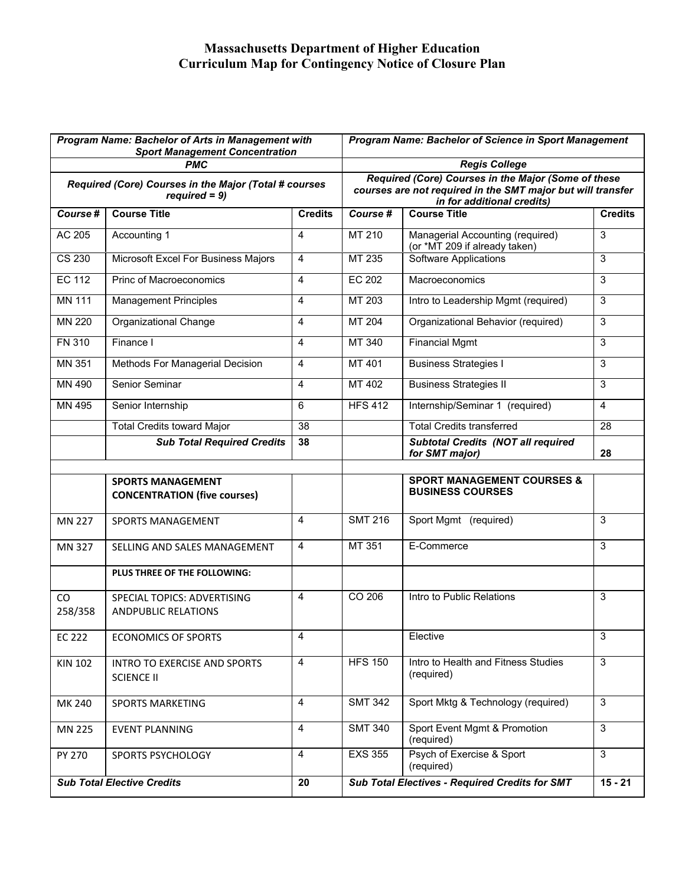## **Massachusetts Department of Higher Education Curriculum Map for Contingency Notice of Closure Plan**

| Program Name: Bachelor of Arts in Management with<br><b>Sport Management Concentration</b> |                                                                 |                | <b>Program Name: Bachelor of Science in Sport Management</b>                                                                                     |                                                                   |                |
|--------------------------------------------------------------------------------------------|-----------------------------------------------------------------|----------------|--------------------------------------------------------------------------------------------------------------------------------------------------|-------------------------------------------------------------------|----------------|
|                                                                                            | <b>PMC</b>                                                      |                | <b>Regis College</b>                                                                                                                             |                                                                   |                |
| Required (Core) Courses in the Major (Total # courses<br>$required = 9$                    |                                                                 |                | Required (Core) Courses in the Major (Some of these<br>courses are not required in the SMT major but will transfer<br>in for additional credits) |                                                                   |                |
| Course#                                                                                    | <b>Course Title</b>                                             | <b>Credits</b> | Course #                                                                                                                                         | <b>Course Title</b>                                               | <b>Credits</b> |
| AC 205                                                                                     | Accounting 1                                                    | 4              | MT 210                                                                                                                                           | Managerial Accounting (required)<br>(or *MT 209 if already taken) | 3              |
| CS 230                                                                                     | Microsoft Excel For Business Majors                             | 4              | MT 235                                                                                                                                           | <b>Software Applications</b>                                      | 3              |
| <b>EC 112</b>                                                                              | Princ of Macroeconomics                                         | 4              | <b>EC 202</b>                                                                                                                                    | Macroeconomics                                                    | 3              |
| <b>MN 111</b>                                                                              | <b>Management Principles</b>                                    | 4              | MT 203                                                                                                                                           | Intro to Leadership Mgmt (required)                               | 3              |
| <b>MN 220</b>                                                                              | <b>Organizational Change</b>                                    | 4              | MT 204                                                                                                                                           | Organizational Behavior (required)                                | 3              |
| <b>FN 310</b>                                                                              | Finance I                                                       | 4              | MT 340                                                                                                                                           | <b>Financial Mgmt</b>                                             | 3              |
| MN 351                                                                                     | Methods For Managerial Decision                                 | 4              | MT 401                                                                                                                                           | <b>Business Strategies I</b>                                      | 3              |
| MN 490                                                                                     | Senior Seminar                                                  | 4              | MT 402                                                                                                                                           | <b>Business Strategies II</b>                                     | 3              |
| MN 495                                                                                     | Senior Internship                                               | 6              | <b>HFS 412</b>                                                                                                                                   | Internship/Seminar 1 (required)                                   | 4              |
|                                                                                            | <b>Total Credits toward Major</b>                               | 38             |                                                                                                                                                  | <b>Total Credits transferred</b>                                  | 28             |
|                                                                                            | <b>Sub Total Required Credits</b>                               | 38             |                                                                                                                                                  | <b>Subtotal Credits (NOT all required</b><br>for SMT major)       | 28             |
|                                                                                            |                                                                 |                |                                                                                                                                                  |                                                                   |                |
|                                                                                            | <b>SPORTS MANAGEMENT</b><br><b>CONCENTRATION (five courses)</b> |                |                                                                                                                                                  | <b>SPORT MANAGEMENT COURSES &amp;</b><br><b>BUSINESS COURSES</b>  |                |
| <b>MN 227</b>                                                                              | <b>SPORTS MANAGEMENT</b>                                        | 4              | <b>SMT 216</b>                                                                                                                                   | Sport Mgmt (required)                                             | 3              |
| MN 327                                                                                     | SELLING AND SALES MANAGEMENT                                    | $\overline{4}$ | MT 351                                                                                                                                           | E-Commerce                                                        | 3              |
|                                                                                            | PLUS THREE OF THE FOLLOWING:                                    |                |                                                                                                                                                  |                                                                   |                |
| CO<br>258/358                                                                              | SPECIAL TOPICS: ADVERTISING<br><b>ANDPUBLIC RELATIONS</b>       | 4              | CO 206                                                                                                                                           | Intro to Public Relations                                         | 3              |
| <b>EC 222</b>                                                                              | <b>ECONOMICS OF SPORTS</b>                                      | 4              |                                                                                                                                                  | Elective                                                          | 3              |
| <b>KIN 102</b>                                                                             | <b>INTRO TO EXERCISE AND SPORTS</b><br><b>SCIENCE II</b>        | $\overline{4}$ | <b>HFS 150</b>                                                                                                                                   | Intro to Health and Fitness Studies<br>(required)                 | $\mathfrak{S}$ |
| MK 240                                                                                     | <b>SPORTS MARKETING</b>                                         | 4              | <b>SMT 342</b>                                                                                                                                   | Sport Mktg & Technology (required)                                | $\mathbf{3}$   |
| MN 225                                                                                     | <b>EVENT PLANNING</b>                                           | 4              | <b>SMT 340</b>                                                                                                                                   | Sport Event Mgmt & Promotion<br>(required)                        | $\overline{3}$ |
| PY 270                                                                                     | SPORTS PSYCHOLOGY                                               | $\overline{4}$ | <b>EXS 355</b>                                                                                                                                   | Psych of Exercise & Sport<br>(required)                           | $\overline{3}$ |
| <b>Sub Total Elective Credits</b>                                                          |                                                                 | 20             | <b>Sub Total Electives - Required Credits for SMT</b>                                                                                            |                                                                   | $15 - 21$      |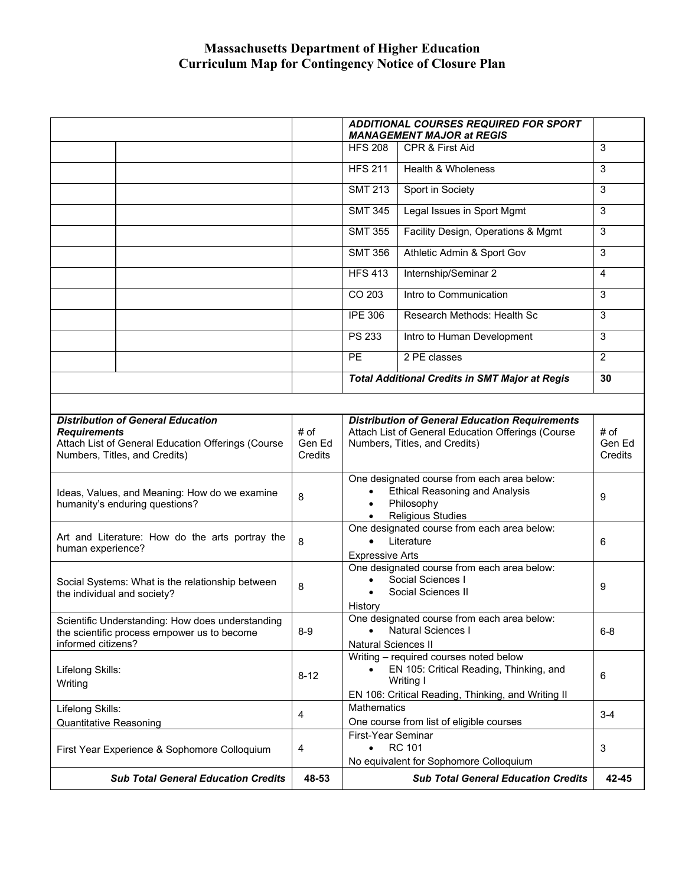## **Massachusetts Department of Higher Education Curriculum Map for Contingency Notice of Closure Plan**

|                                                                                                                                                        |                                              |                                                       | <b>ADDITIONAL COURSES REQUIRED FOR SPORT</b><br><b>MANAGEMENT MAJOR at REGIS</b>                                                                         |                                            |                           |
|--------------------------------------------------------------------------------------------------------------------------------------------------------|----------------------------------------------|-------------------------------------------------------|----------------------------------------------------------------------------------------------------------------------------------------------------------|--------------------------------------------|---------------------------|
|                                                                                                                                                        |                                              |                                                       | <b>HFS 208</b>                                                                                                                                           | CPR & First Aid                            | 3                         |
|                                                                                                                                                        |                                              |                                                       | <b>HFS 211</b>                                                                                                                                           | Health & Wholeness                         | 3                         |
|                                                                                                                                                        |                                              |                                                       | <b>SMT 213</b>                                                                                                                                           | Sport in Society                           | 3                         |
|                                                                                                                                                        |                                              |                                                       | <b>SMT 345</b>                                                                                                                                           | Legal Issues in Sport Mgmt                 | 3                         |
|                                                                                                                                                        |                                              |                                                       | <b>SMT 355</b>                                                                                                                                           | Facility Design, Operations & Mgmt         | 3                         |
|                                                                                                                                                        |                                              |                                                       | <b>SMT 356</b>                                                                                                                                           | Athletic Admin & Sport Gov                 | 3                         |
|                                                                                                                                                        |                                              |                                                       | <b>HFS 413</b>                                                                                                                                           | Internship/Seminar 2                       | 4                         |
|                                                                                                                                                        |                                              |                                                       | CO 203                                                                                                                                                   | Intro to Communication                     | 3                         |
|                                                                                                                                                        |                                              |                                                       | <b>IPE 306</b>                                                                                                                                           | Research Methods: Health Sc                | 3                         |
|                                                                                                                                                        |                                              |                                                       | <b>PS 233</b>                                                                                                                                            | Intro to Human Development                 | 3                         |
|                                                                                                                                                        |                                              |                                                       | PE.                                                                                                                                                      | 2 PE classes                               | $\overline{2}$            |
|                                                                                                                                                        |                                              | <b>Total Additional Credits in SMT Major at Regis</b> |                                                                                                                                                          |                                            | 30                        |
|                                                                                                                                                        |                                              |                                                       |                                                                                                                                                          |                                            |                           |
| <b>Distribution of General Education</b><br><b>Requirements</b><br>Attach List of General Education Offerings (Course<br>Numbers, Titles, and Credits) |                                              | # of<br>Gen Ed<br>Credits                             | <b>Distribution of General Education Requirements</b><br>Attach List of General Education Offerings (Course<br>Numbers, Titles, and Credits)             |                                            | # of<br>Gen Ed<br>Credits |
| Ideas, Values, and Meaning: How do we examine<br>humanity's enduring questions?                                                                        |                                              | 8                                                     | One designated course from each area below:<br><b>Ethical Reasoning and Analysis</b><br>$\bullet$<br>Philosophy<br>$\bullet$<br><b>Religious Studies</b> |                                            | 9                         |
| Art and Literature: How do the arts portray the<br>human experience?                                                                                   |                                              | 8                                                     | One designated course from each area below:<br>Literature<br>$\bullet$<br><b>Expressive Arts</b>                                                         |                                            | 6                         |
| Social Systems: What is the relationship between<br>the individual and society?                                                                        |                                              | 8                                                     | One designated course from each area below:<br>Social Sciences I<br>Social Sciences II<br>History                                                        |                                            | 9                         |
| Scientific Understanding: How does understanding<br>the scientific process empower us to become<br>informed citizens?                                  |                                              | $8-9$                                                 | One designated course from each area below:<br><b>Natural Sciences I</b><br><b>Natural Sciences II</b>                                                   |                                            | $6 - 8$                   |
| Lifelong Skills:<br>Writing                                                                                                                            |                                              | $8 - 12$                                              | Writing - required courses noted below<br>EN 105: Critical Reading, Thinking, and<br>Writing I<br>EN 106: Critical Reading, Thinking, and Writing II     |                                            | 6                         |
| Lifelong Skills:<br><b>Quantitative Reasoning</b>                                                                                                      |                                              | 4                                                     | Mathematics<br>One course from list of eligible courses                                                                                                  |                                            | $3 - 4$                   |
|                                                                                                                                                        | First Year Experience & Sophomore Colloquium | 4                                                     | First-Year Seminar<br><b>RC 101</b><br>$\bullet$<br>No equivalent for Sophomore Colloquium                                                               |                                            | 3                         |
|                                                                                                                                                        | <b>Sub Total General Education Credits</b>   | 48-53                                                 |                                                                                                                                                          | <b>Sub Total General Education Credits</b> | 42-45                     |